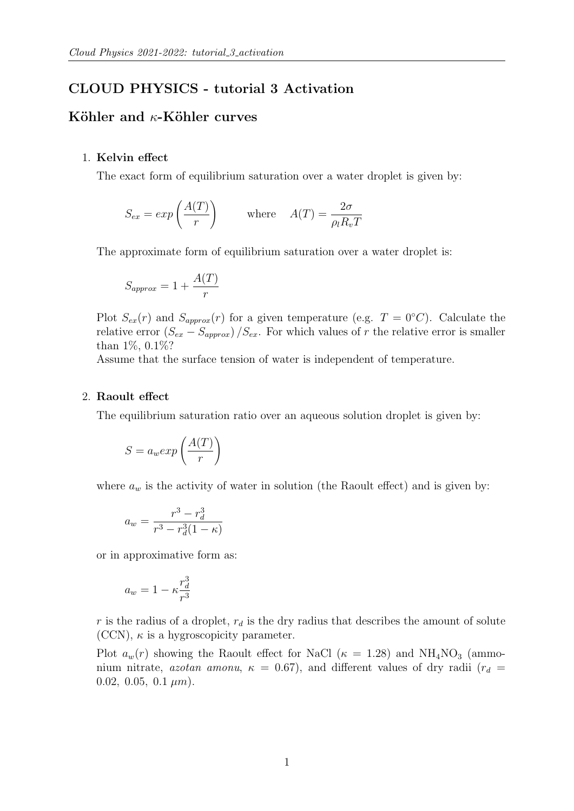# CLOUD PHYSICS - tutorial 3 Activation

## Köhler and  $\kappa$ -Köhler curves

## 1. Kelvin effect

The exact form of equilibrium saturation over a water droplet is given by:

$$
S_{ex} = exp\left(\frac{A(T)}{r}\right) \qquad \text{where} \quad A(T) = \frac{2\sigma}{\rho_l R_v T}
$$

The approximate form of equilibrium saturation over a water droplet is:

$$
S_{approx} = 1 + \frac{A(T)}{r}
$$

Plot  $S_{ex}(r)$  and  $S_{approx}(r)$  for a given temperature (e.g.  $T = 0°C$ ). Calculate the relative error  $(S_{ex} - S_{approx})/S_{ex}$ . For which values of r the relative error is smaller than 1%, 0.1%?

Assume that the surface tension of water is independent of temperature.

#### 2. Raoult effect

The equilibrium saturation ratio over an aqueous solution droplet is given by:

$$
S = a_w exp\left(\frac{A(T)}{r}\right)
$$

where  $a_w$  is the activity of water in solution (the Raoult effect) and is given by:

$$
a_w = \frac{r^3 - r_d^3}{r^3 - r_d^3(1 - \kappa)}
$$

or in approximative form as:

$$
a_w = 1 - \kappa \frac{r_d^3}{r^3}
$$

 $r$  is the radius of a droplet,  $r_d$  is the dry radius that describes the amount of solute (CCN),  $\kappa$  is a hygroscopicity parameter.

Plot  $a_w(r)$  showing the Raoult effect for NaCl ( $\kappa = 1.28$ ) and NH<sub>4</sub>NO<sub>3</sub> (ammonium nitrate, azotan amonu,  $\kappa = 0.67$ ), and different values of dry radii  $(r_d =$ 0.02, 0.05, 0.1  $\mu$ m).